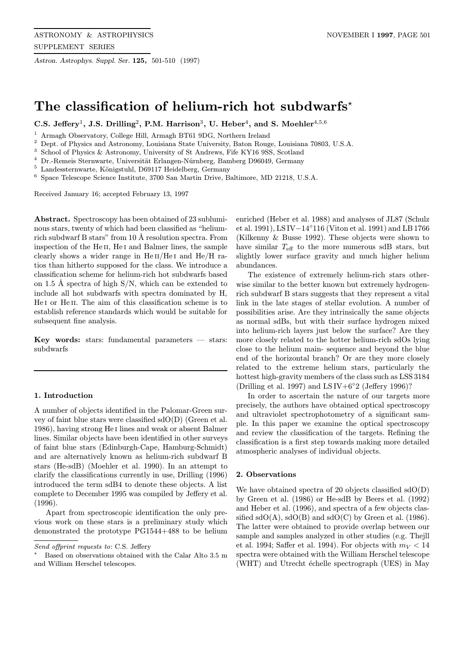Astron. Astrophys. Suppl. Ser. 125, 501-510 (1997)

# The classification of helium-rich hot subdwarfs<sup>\*</sup>

C.S. Jeffery<sup>1</sup>, J.S. Drilling<sup>2</sup>, P.M. Harrison<sup>3</sup>, U. Heber<sup>4</sup>, and S. Moehler<sup>4,5,6</sup>

<sup>1</sup> Armagh Observatory, College Hill, Armagh BT61 9DG, Northern Ireland

<sup>2</sup> Dept. of Physics and Astronomy, Louisiana State University, Baton Rouge, Louisiana 70803, U.S.A.

<sup>3</sup> School of Physics & Astronomy, University of St Andrews, Fife KY16 9SS, Scotland

Dr.-Remeis Sternwarte, Universität Erlangen-Nürnberg, Bamberg D96049, Germany

 $^5$  Landessternwarte, Königstuhl, D69117 Heidelberg, Germany

<sup>6</sup> Space Telescope Science Institute, 3700 San Martin Drive, Baltimore, MD 21218, U.S.A.

Received January 16; accepted February 13, 1997

Abstract. Spectroscopy has been obtained of 23 subluminous stars, twenty of which had been classified as "heliumrich subdwarf B stars" from 10 Å resolution spectra. From inspection of the He<sub>II</sub>, He<sub>I</sub> and Balmer lines, the sample clearly shows a wider range in  $He II/He I$  and  $He/H$  ratios than hitherto supposed for the class. We introduce a classification scheme for helium-rich hot subdwarfs based on 1.5 Å spectra of high  $S/N$ , which can be extended to include all hot subdwarfs with spectra dominated by H, He I or He II. The aim of this classification scheme is to establish reference standards which would be suitable for subsequent fine analysis.

Key words: stars: fundamental parameters  $-$  stars: subdwarfs

# 1. Introduction

A number of objects identified in the Palomar-Green survey of faint blue stars were classified  $sdO(D)$  (Green et al. 1986), having strong He i lines and weak or absent Balmer lines. Similar objects have been identified in other surveys of faint blue stars (Edinburgh-Cape, Hamburg-Schmidt) and are alternatively known as helium-rich subdwarf B stars (He-sdB) (Moehler et al. 1990). In an attempt to clarify the classifications currently in use, Drilling (1996) introduced the term sdB4 to denote these objects. A list complete to December 1995 was compiled by Jeffery et al. (1996).

Apart from spectroscopic identification the only previous work on these stars is a preliminary study which demonstrated the prototype PG1544+488 to be helium

enriched (Heber et al. 1988) and analyses of JL87 (Schulz et al. 1991), LSIV−14◦116 (Viton et al. 1991) and LB1766 (Kilkenny & Busse 1992). These objects were shown to have similar  $T_{\text{eff}}$  to the more numerous sdB stars, but slightly lower surface gravity and much higher helium abundances.

The existence of extremely helium-rich stars otherwise similar to the better known but extremely hydrogenrich subdwarf B stars suggests that they represent a vital link in the late stages of stellar evolution. A number of possibilities arise. Are they intrinsically the same objects as normal sdBs, but with their surface hydrogen mixed into helium-rich layers just below the surface? Are they more closely related to the hotter helium-rich sdOs lying close to the helium main- sequence and beyond the blue end of the horizontal branch? Or are they more closely related to the extreme helium stars, particularly the hottest high-gravity members of the class such as LSS 3184 (Drilling et al. 1997) and LSIV+6 $^{\circ}2$  (Jeffery 1996)?

In order to ascertain the nature of our targets more precisely, the authors have obtained optical spectroscopy and ultraviolet spectrophotometry of a significant sample. In this paper we examine the optical spectroscopy and review the classification of the targets. Refining the classification is a first step towards making more detailed atmospheric analyses of individual objects.

## 2. Observations

We have obtained spectra of 20 objects classified  $sdO(D)$ by Green et al. (1986) or He-sdB by Beers et al. (1992) and Heber et al. (1996), and spectra of a few objects classified sdO(A), sdO(B) and sdO(C) by Green et al. (1986). The latter were obtained to provide overlap between our sample and samples analyzed in other studies (e.g. Thejll et al. 1994; Saffer et al. 1994). For objects with  $m_V < 14$ spectra were obtained with the William Herschel telescope (WHT) and Utrecht échelle spectrograph (UES) in May

Send offprint requests to: C.S. Jeffery

<sup>?</sup> Based on observations obtained with the Calar Alto 3.5 m and William Herschel telescopes.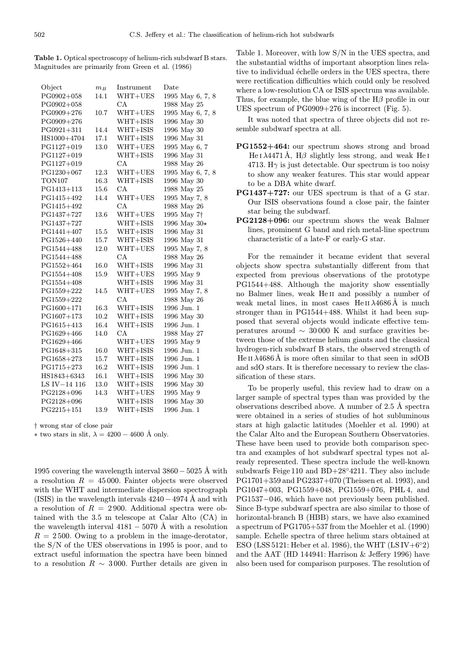Table 1. Optical spectroscopy of helium-rich subdwarf B stars. Magnitudes are primarily from Green et al. (1986)

| Object         | $m_B$ | Instrument | $_{\text{Date}}$        |
|----------------|-------|------------|-------------------------|
| PG0902+058     | 14.1  | WHT+UES    | 1995 May 6, 7, 8        |
| PG0902+058     |       | CA         | 1988 May 25             |
| PG0909+276     | 10.7  | WHT+UES    | 1995 May 6, 7, 8        |
| PG0909+276     |       | WHT+ISIS   | 1996 May 30             |
| PG0921+311     | 14.4  | WHT+ISIS   | 1996 May 30             |
| HS1000+4704    | 17.1  | WHT+ISIS   | 1996 May 31             |
| PG1127+019     | 13.0  | $WHT+UES$  | 1995 May 6, 7           |
| PG1127+019     |       | WHT+ISIS   | 1996 May 31             |
| PG1127+019     |       | CA         | 1988 May 26             |
| PG1230+067     | 12.3  | WHT+UES    | 1995 May 6, 7, 8        |
| TON107         | 16.3  | WHT+ISIS   | 1996 May 30             |
| PG1413+113     | 15.6  | СA         | 1988 May 25             |
| PG1415+492     | 14.4  | $WHT+UES$  | 1995 May 7, 8           |
| PG1415+492     |       | CA         | 1988 May 26             |
| PG1437+727     | 13.6  | WHT+UES    | 1995 May 7 <sup>+</sup> |
| $PG1437 + 727$ |       | WHT+ISIS   | 1996 May 30*            |
| PG1441+407     | 15.5  | WHT+ISIS   | 1996 May 31             |
| PG1526+440     | 15.7  | WHT+ISIS   | 1996 May 31             |
| PG1544+488     | 12.0  | WHT+UES    | 1995 May 7, 8           |
| PG1544+488     |       | CA         | 1988 May 26             |
| PG1552+464     | 16.0  | WHT+ISIS   | 1996 May 31             |
| PG1554+408     | 15.9  | WHT+UES    | 1995 May 9              |
| PG1554+408     |       | WHT+ISIS   | 1996 May 31             |
| PG1559+222     | 14.5  | $WHT+UES$  | 1995 May 7, 8           |
| $PG1559 + 222$ |       | CA         | 1988 May 26             |
| PG1600+171     | 16.3  | WHT+ISIS   | 1996 Jun. 1             |
| $PG1607 + 173$ | 10.2  | WHT+ISIS   | 1996 May 30             |
| PG1615+413     | 16.4  | WHT+ISIS   | 1996 Jun. 1             |
| $PG1629+466$   | 14.0  | CA         | 1988 May 27             |
| PG1629+466     |       | WHT+UES    | 1995 May 9              |
| $PG1648 + 315$ | 16.0  | WHT+ISIS   | 1996 Jun. 1             |
| $PG1658 + 273$ | 15.7  | WHT+ISIS   | 1996 Jun. 1             |
| $PG1715 + 273$ | 16.2  | WHT+ISIS   | 1996 Jun. 1             |
| HS1843+6343    | 16.1  | WHT+ISIS   | 1996 May 30             |
| LS IV-14 116   | 13.0  | WHT+ISIS   | 1996 May 30             |
| PG2128+096     | 14.3  | WHT+UES    | 1995 May 9              |
| PG2128+096     |       | WHT+ISIS   | 1996 May 30             |
| $PG2215 + 151$ | 13.9  | WHT+ISIS   | 1996 Jun. 1             |

† wrong star of close pair

 $∗$  two stars in slit,  $\lambda = 4200 - 4600$  Å only.

1995 covering the wavelength interval  $3860 - 5025$  Å with a resolution  $R = 45000$ . Fainter objects were observed with the WHT and intermediate dispersion spectrograph (ISIS) in the wavelength intervals  $4240-4974$  Å and with a resolution of  $R = 2900$ . Additional spectra were obtained with the 3.5 m telescope at Calar Alto (CA) in the wavelength interval  $4181 - 5070$  Å with a resolution  $R = 2500$ . Owing to a problem in the image-derotator, the S/N of the UES observations in 1995 is poor, and to extract useful information the spectra have been binned to a resolution  $R \sim 3000$ . Further details are given in

Table 1. Moreover, with low S/N in the UES spectra, and the substantial widths of important absorption lines relative to individual échelle orders in the UES spectra, there were rectification difficulties which could only be resolved where a low-resolution CA or ISIS spectrum was available. Thus, for example, the blue wing of the  $H\beta$  profile in our UES spectrum of PG0909+276 is incorrect (Fig. 5).

It was noted that spectra of three objects did not resemble subdwarf spectra at all.

- PG1552+464: our spectrum shows strong and broad He I  $\lambda$ 4471 Å, H $\beta$  slightly less strong, and weak He I 4713. H $\gamma$  is just detectable. Our spectrum is too noisy to show any weaker features. This star would appear to be a DBA white dwarf.
- PG1437+727: our UES spectrum is that of a G star. Our ISIS observations found a close pair, the fainter star being the subdwarf.
- PG2128+096: our spectrum shows the weak Balmer lines, prominent G band and rich metal-line spectrum characteristic of a late-F or early-G star.

For the remainder it became evident that several objects show spectra substantially different from that expected from previous observations of the prototype PG1544+488. Although the majority show essentially no Balmer lines, weak He ii and possibly a number of weak metal lines, in most cases He II  $\lambda$ 4686 Å is much stronger than in PG1544+488. Whilst it had been supposed that several objects would indicate effective temperatures around ∼ 30 000 K and surface gravities between those of the extreme helium giants and the classical hydrogen-rich subdwarf B stars, the observed strength of He II  $\lambda$ 4686 Å is more often similar to that seen in sdOB and sdO stars. It is therefore necessary to review the classification of these stars.

To be properly useful, this review had to draw on a larger sample of spectral types than was provided by the observations described above. A number of  $2.5 \text{ Å}$  spectra were obtained in a series of studies of hot subluminous stars at high galactic latitudes (Moehler et al. 1990) at the Calar Alto and the European Southern Observatories. These have been used to provide both comparison spectra and examples of hot subdwarf spectral types not already represented. These spectra include the well-known subdwarfs Feige 110 and BD+28◦4211. They also include PG1701+359 and PG2337+070 (Theissen et al. 1993), and PG1047+003, PG1559+048, PG1559+076, PHL 4, and PG1537−046, which have not previously been published. Since B-type subdwarf spectra are also similar to those of horizontal-branch B (HBB) stars, we have also examined a spectrum of PG1705+537 from the Moehler et al. (1990) sample. Echelle spectra of three helium stars obtained at ESO (LSS 5121: Heber et al. 1986), the WHT (LSIV+6 $^{\circ}2$ ) and the AAT (HD 144941: Harrison & Jeffery 1996) have also been used for comparison purposes. The resolution of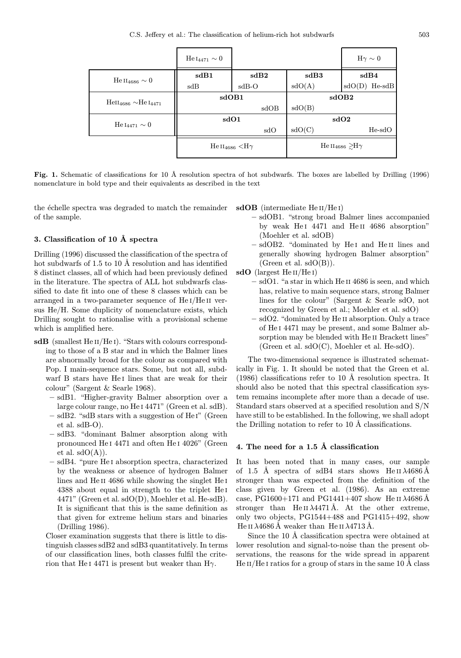|                                   | $He I_{4471} \sim 0$ |                                     |                  | $H\gamma \sim 0$                          |  |
|-----------------------------------|----------------------|-------------------------------------|------------------|-------------------------------------------|--|
| He II <sub>4686</sub> $\sim 0$    | sdB1                 | sdB2                                | sdB3             | sdB4                                      |  |
|                                   | sdB                  | $sdB-O$                             | sdO(A)           | $He-sdB$<br>sdO(D)                        |  |
| $\rm HeII_{4686} \sim HeI_{4471}$ | sdOB1                |                                     | sdOB2            |                                           |  |
|                                   |                      | sdOB                                | sdO(B)           |                                           |  |
| He $_{4471} \sim 0$               | sdO1                 |                                     | sdO <sub>2</sub> |                                           |  |
|                                   |                      | sdO                                 | sdO(C)           | $He-sdO$                                  |  |
|                                   |                      | He $\rm{II}_{4686}$ $\rm{<}H\gamma$ |                  | He $\text{II}_{4686} \geq \text{H}\gamma$ |  |

Fig. 1. Schematic of classifications for 10 Å resolution spectra of hot subdwarfs. The boxes are labelled by Drilling (1996) nomenclature in bold type and their equivalents as described in the text

the échelle spectra was degraded to match the remainder of the sample.

#### 3. Classification of 10  $\AA$  spectra

Drilling (1996) discussed the classification of the spectra of hot subdwarfs of 1.5 to 10 Å resolution and has identified 8 distinct classes, all of which had been previously defined in the literature. The spectra of ALL hot subdwarfs classified to date fit into one of these 8 classes which can be arranged in a two-parameter sequence of He i/He ii versus He/H. Some duplicity of nomenclature exists, which Drilling sought to rationalise with a provisional scheme which is amplified here.

- sdB (smallest He<sub>II</sub>/He<sub>I</sub>). "Stars with colours corresponding to those of a B star and in which the Balmer lines are abnormally broad for the colour as compared with Pop. I main-sequence stars. Some, but not all, subdwarf B stars have He<sub>I</sub> lines that are weak for their colour" (Sargent & Searle 1968).
	- sdB1. "Higher-gravity Balmer absorption over a large colour range, no He i 4471" (Green et al. sdB).
	- $-$  sdB2. "sdB stars with a suggestion of He<sub>I</sub>" (Green et al. sdB-O).
	- sdB3. "dominant Balmer absorption along with pronounced He i 4471 and often He i 4026" (Green et al.  $sdO(A)$ ).
	- sdB4. "pure He i absorption spectra, characterized by the weakness or absence of hydrogen Balmer lines and He<sub>II</sub> 4686 while showing the singlet He<sub>I</sub> 4388 about equal in strength to the triplet He i 4471" (Green et al. sdO(D), Moehler et al. He-sdB). It is significant that this is the same definition as that given for extreme helium stars and binaries (Drilling 1986).

Closer examination suggests that there is little to distinguish classes sdB2 and sdB3 quantitatively. In terms of our classification lines, both classes fulfil the criterion that He I 4471 is present but weaker than  $H\gamma$ .

 $sdOB$  (intermediate He II/He I)

- sdOB1. "strong broad Balmer lines accompanied by weak He<sub>I</sub> 4471 and He<sub>II</sub> 4686 absorption" (Moehler et al. sdOB)
- sdOB2. "dominated by He i and He ii lines and generally showing hydrogen Balmer absorption" (Green et al.  $sdO(B)$ ).

sdO (largest He II/He I)

- sdO1. "a star in which He ii 4686 is seen, and which has, relative to main sequence stars, strong Balmer lines for the colour" (Sargent & Searle sdO, not recognized by Green et al.; Moehler et al. sdO)
- sdO2. "dominated by He ii absorption. Only a trace of He i 4471 may be present, and some Balmer absorption may be blended with He II Brackett lines" (Green et al. sdO(C), Moehler et al. He-sdO).

The two-dimensional sequence is illustrated schematically in Fig. 1. It should be noted that the Green et al.  $(1986)$  classifications refer to 10 Å resolution spectra. It should also be noted that this spectral classification system remains incomplete after more than a decade of use. Standard stars observed at a specified resolution and S/N have still to be established. In the following, we shall adopt the Drilling notation to refer to  $10 \text{ Å}$  classifications.

## 4. The need for a 1.5 Å classification

It has been noted that in many cases, our sample of 1.5 Å spectra of sdB4 stars shows He II  $\lambda$ 4686Å stronger than was expected from the definition of the class given by Green et al. (1986). As an extreme case, PG1600+171 and PG1441+407 show He II  $\lambda$ 4686 Å stronger than He II  $\lambda$ 4471 Å. At the other extreme, only two objects, PG1544+488 and PG1415+492, show He II  $\lambda$ 4686 Å weaker than He II  $\lambda$ 4713 Å.

Since the 10 Å classification spectra were obtained at lower resolution and signal-to-noise than the present observations, the reasons for the wide spread in apparent He  $II/He I$  ratios for a group of stars in the same 10 Å class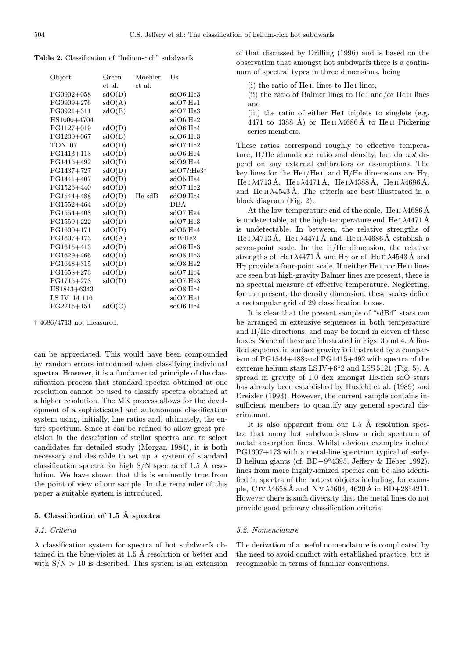Table 2. Classification of "helium-rich" subdwarfs

| Object         | Green                      | Moehler  | Us         |
|----------------|----------------------------|----------|------------|
|                | et al.                     | et al.   |            |
| PG0902+058     | sdO(D)                     |          | sdO6:He3   |
| $PG0909 + 276$ | sdO(A)                     |          | sdO7:He1   |
| $PG0921 + 311$ | sdO(B)                     |          | sdO7:He3   |
| HS1000+4704    |                            |          | sdO6:He2   |
| PG1127+019     | sdO(D)                     |          | sdO6:He4   |
| $PG1230+067$   | sdO(B)                     |          | sdO6:He3   |
| <b>TON107</b>  | sdO(D)                     |          | sdO7:He2   |
| PG1413+113     | sdO(D)                     |          | sdO6:He4   |
| PG1415+492     | sdO(D)                     |          | sdO9:He4   |
| PG1437+727     | sdO(D)                     |          | sdO7?:He3† |
| $PG1441 + 407$ | sdO(D)                     |          | sdO5:He4   |
| PG1526+440     | sdO(D)                     |          | sdO7:He2   |
| PG1544+488     | sdO(D)                     | $He-sdB$ | sdO9:He4   |
| PG1552+464     | sdO(D)                     |          | DBA        |
| PG1554+408     | sdO(D)                     |          | sdO7:He4   |
| PG1559+222     | sdO(D)                     |          | sdO7:He3   |
| $PG1600 + 171$ | sdO(D)                     |          | sdO5:He4   |
| $PG1607 + 173$ | sdO(A)                     |          | sdB:He2    |
| PG1615+413     | sdO(D)                     |          | sdO8:He3   |
| PG1629+466     | sdO(D)                     |          | sdO8:He3   |
| PG1648+315     | sdO(D)                     |          | sdO8:He2   |
| $PG1658 + 273$ | sdO(D)                     |          | sdO7:He4   |
| $PG1715 + 273$ | sdO(D)                     |          | sdO7:He3   |
| HS1843+6343    |                            |          | sdO8:He4   |
| LS IV-14 116   |                            |          | sdO7:He1   |
| $PG2215 + 151$ | $\mathrm{sdO}(\mathrm{C})$ |          | sdO6:He4   |

† 4686/4713 not measured.

can be appreciated. This would have been compounded by random errors introduced when classifying individual spectra. However, it is a fundamental principle of the classification process that standard spectra obtained at one resolution cannot be used to classify spectra obtained at a higher resolution. The MK process allows for the development of a sophisticated and autonomous classification system using, initially, line ratios and, ultimately, the entire spectrum. Since it can be refined to allow great precision in the description of stellar spectra and to select candidates for detailed study (Morgan 1984), it is both necessary and desirable to set up a system of standard classification spectra for high  $S/N$  spectra of 1.5 Å resolution. We have shown that this is eminently true from the point of view of our sample. In the remainder of this paper a suitable system is introduced.

# 5. Classification of 1.5 Å spectra

#### 5.1. Criteria

A classification system for spectra of hot subdwarfs obtained in the blue-violet at  $1.5 \text{ Å}$  resolution or better and with  $S/N > 10$  is described. This system is an extension of that discussed by Drilling (1996) and is based on the observation that amongst hot subdwarfs there is a continuum of spectral types in three dimensions, being

(i) the ratio of He ii lines to He i lines,

(ii) the ratio of Balmer lines to  $He I$  and/or  $He II$  lines and

(iii) the ratio of either He<sub>I</sub> triplets to singlets (e.g. 4471 to 4388 Å) or He II  $\lambda$ 4686 Å to He II Pickering series members.

These ratios correspond roughly to effective temperature, H/He abundance ratio and density, but do not depend on any external calibrators or assumptions. The key lines for the He I/He II and H/He dimensions are  $H\gamma$ , He I  $\lambda$ 4713 Å, He I  $\lambda$ 4471 Å, He I  $\lambda$ 4388 Å, He II  $\lambda$ 4686 Å, and He II  $\lambda$ 4543Å. The criteria are best illustrated in a block diagram (Fig. 2).

At the low-temperature end of the scale, He II  $\lambda$ 4686 Å is undetectable, at the high-temperature end He  $\lambda$ 4471 Å is undetectable. In between, the relative strengths of He I  $\lambda$ 4713Å, He I  $\lambda$ 4471Å and He II  $\lambda$ 4686Å establish a seven-point scale. In the H/He dimension, the relative strengths of He I  $\lambda$ 4471 Å and H $\gamma$  or of He II  $\lambda$ 4543 Å and  $H\gamma$  provide a four-point scale. If neither He I nor He II lines are seen but high-gravity Balmer lines are present, there is no spectral measure of effective temperature. Neglecting, for the present, the density dimension, these scales define a rectangular grid of 29 classification boxes.

It is clear that the present sample of "sdB4" stars can be arranged in extensive sequences in both temperature and H/He directions, and may be found in eleven of these boxes. Some of these are illustrated in Figs. 3 and 4. A limited sequence in surface gravity is illustrated by a comparison of PG1544+488 and PG1415+492 with spectra of the extreme helium stars  $LSIV+6°2$  and  $LSS5121$  (Fig. 5). A spread in gravity of 1.0 dex amongst He-rich sdO stars has already been established by Husfeld et al. (1989) and Dreizler (1993). However, the current sample contains insufficient members to quantify any general spectral discriminant.

It is also apparent from our  $1.5 \text{ Å}$  resolution spectra that many hot subdwarfs show a rich spectrum of metal absorption lines. Whilst obvious examples include PG1607+173 with a metal-line spectrum typical of early-B helium giants (cf. BD−9◦4395, Jeffery & Heber 1992), lines from more highly-ionized species can be also identified in spectra of the hottest objects including, for example, C IV  $\lambda$ 4658 Å and N v  $\lambda$ 4604, 4620 Å in BD+28°4211. However there is such diversity that the metal lines do not provide good primary classification criteria.

#### 5.2. Nomenclature

The derivation of a useful nomenclature is complicated by the need to avoid conflict with established practice, but is recognizable in terms of familiar conventions.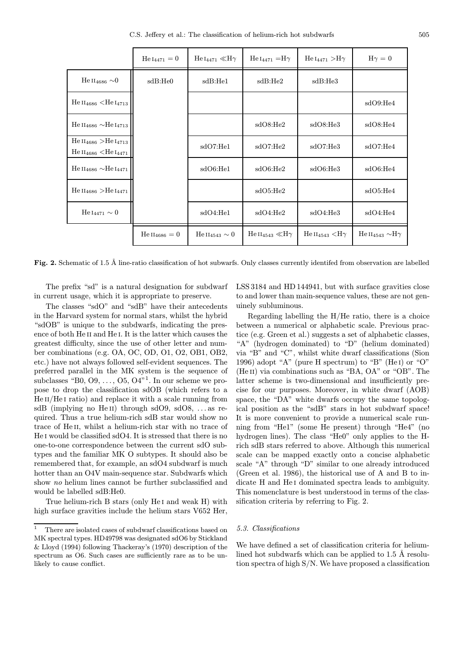C.S. Jeffery et al.: The classification of helium-rich hot subdwarfs 505

|                                                                                     | $He I_{4471} = 0$  | He $I_{4471}$ $\ll$ H $\gamma$ | $He I_{4471} = H\gamma$                  | He $_{\rm I4471}>$ H $\gamma$       | $H\gamma=0$                               |
|-------------------------------------------------------------------------------------|--------------------|--------------------------------|------------------------------------------|-------------------------------------|-------------------------------------------|
| He II <sub>4686</sub> $\sim$ 0                                                      | sdB:He0            | sdB:He1                        | sdB:He2                                  | sdB:He3                             |                                           |
| He $_{14686}$ <he <math="">_{14713}</he>                                            |                    |                                |                                          |                                     | sdO9:He4                                  |
| He $\rm{II}_{4686}$ $\sim$ He $\rm{I}_{4713}$                                       |                    |                                | sdO8:He2                                 | sdO8:He3                            | sdO8:He4                                  |
| He $\rm{II}_{4686} >$ He $\rm{I}_{4713}$<br>He $\rm{II_{4686} < He$ $\rm{I_{4471}}$ |                    | sdO7:He1                       | sdO7:He2                                 | sdO7:He3                            | sdO7:He4                                  |
| He $\rm{II}_{4686}$ $\sim$ He $\rm{I}_{4471}$                                       |                    | sdO6:He1                       | sdO6:He2                                 | sdO6:He3                            | sdO6:He4                                  |
| $He II_{4686} > He I_{4471}$                                                        |                    |                                | sdO5:He2                                 |                                     | sdO5:He4                                  |
| He $_{4471} \sim 0$                                                                 |                    | sdO4:He1                       | sdO4:He2                                 | sdO4:He3                            | sdO4:He4                                  |
|                                                                                     | $He II_{4686} = 0$ | He II <sub>4543</sub> $\sim 0$ | He $\text{II}_{4543} \ll \text{H}\gamma$ | He $\rm{II}_{4543}$ $\rm{<}H\gamma$ | He $\text{II}_{4543} \sim \text{H}\gamma$ |

Fig. 2. Schematic of 1.5 Å line-ratio classification of hot subwarfs. Only classes currently identifed from observation are labelled

The prefix "sd" is a natural designation for subdwarf in current usage, which it is appropriate to preserve.

The classes "sdO" and "sdB" have their antecedents in the Harvard system for normal stars, whilst the hybrid "sdOB" is unique to the subdwarfs, indicating the presence of both He II and He I. It is the latter which causes the greatest difficulty, since the use of other letter and number combinations (e.g. OA, OC, OD, O1, O2, OB1, OB2, etc.) have not always followed self-evident sequences. The preferred parallel in the MK system is the sequence of subclasses "B0, O9, ..., O5, O4"<sup>1</sup>. In our scheme we propose to drop the classification sdOB (which refers to a He II/He I ratio) and replace it with a scale running from sdB (implying no He<sub>II</sub>) through sdO9, sdO8, ... as required. Thus a true helium-rich sdB star would show no trace of He ii, whilst a helium-rich star with no trace of He I would be classified sdO4. It is stressed that there is no one-to-one correspondence between the current sdO subtypes and the familiar MK O subtypes. It should also be remembered that, for example, an sdO4 subdwarf is much hotter than an O4V main-sequence star. Subdwarfs which show no helium lines cannot be further subclassified and would be labelled sdB:He0.

True helium-rich B stars (only He i and weak H) with high surface gravities include the helium stars V652 Her, LSS3184 and HD144941, but with surface gravities close to and lower than main-sequence values, these are not genuinely subluminous.

Regarding labelling the H/He ratio, there is a choice between a numerical or alphabetic scale. Previous practice (e.g. Green et al.) suggests a set of alphabetic classes, "A" (hydrogen dominated) to "D" (helium dominated) via "B" and "C", whilst white dwarf classifications (Sion 1996) adopt "A" (pure H spectrum) to "B" (He I) or "O" (He<sub>II</sub>) via combinations such as "BA, OA" or "OB". The latter scheme is two-dimensional and insufficiently precise for our purposes. Moreover, in white dwarf (AOB) space, the "DA" white dwarfs occupy the same topological position as the "sdB" stars in hot subdwarf space! It is more convenient to provide a numerical scale running from "He1" (some He present) through "He4" (no hydrogen lines). The class "He0" only applies to the Hrich sdB stars referred to above. Although this numerical scale can be mapped exactly onto a concise alphabetic scale "A" through "D" similar to one already introduced (Green et al. 1986), the historical use of A and B to indicate H and He i dominated spectra leads to ambiguity. This nomenclature is best understood in terms of the classification criteria by referring to Fig. 2.

# 5.3. Classifications

We have defined a set of classification criteria for heliumlined hot subdwarfs which can be applied to  $1.5 \text{ Å}$  resolution spectra of high S/N. We have proposed a classification

<sup>&</sup>lt;sup>1</sup> There are isolated cases of subdwarf classifications based on MK spectral types. HD49798 was designated sdO6 by Stickland & Lloyd (1994) following Thackeray's (1970) description of the spectrum as  $06$ . Such cases are sufficiently rare as to be unlikely to cause conflict.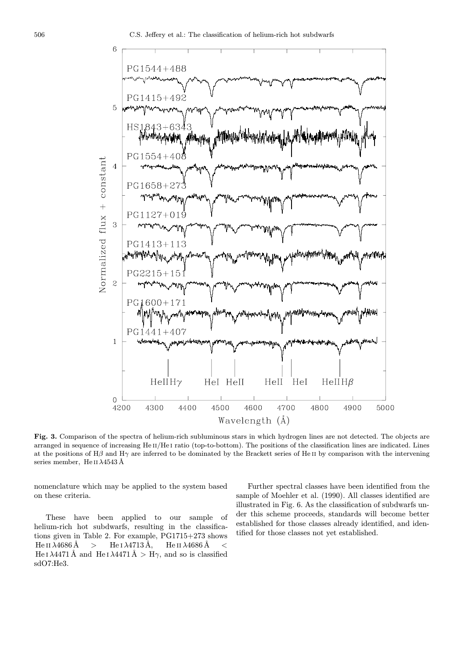

Fig. 3. Comparison of the spectra of helium-rich subluminous stars in which hydrogen lines are not detected. The objects are arranged in sequence of increasing He II/He I ratio (top-to-bottom). The positions of the classification lines are indicated. Lines at the positions of H $\beta$  and H $\gamma$  are inferred to be dominated by the Brackett series of He II by comparison with the intervening series member, He II  $\lambda$ 4543 Å

nomenclature which may be applied to the system based on these criteria.

These have been applied to our sample of helium-rich hot subdwarfs, resulting in the classifications given in Table 2. For example, PG1715+273 shows He II  $\lambda$ 4686 Å > He I  $\lambda$ 4713 Å, He II  $\lambda$ 4686 Å < He I  $\lambda$ 4471 Å and He I  $\lambda$ 4471 Å > H $\gamma$ , and so is classified sdO7:He3.

Further spectral classes have been identified from the sample of Moehler et al. (1990). All classes identified are illustrated in Fig. 6. As the classification of subdwarfs under this scheme proceeds, standards will become better established for those classes already identified, and identified for those classes not yet established.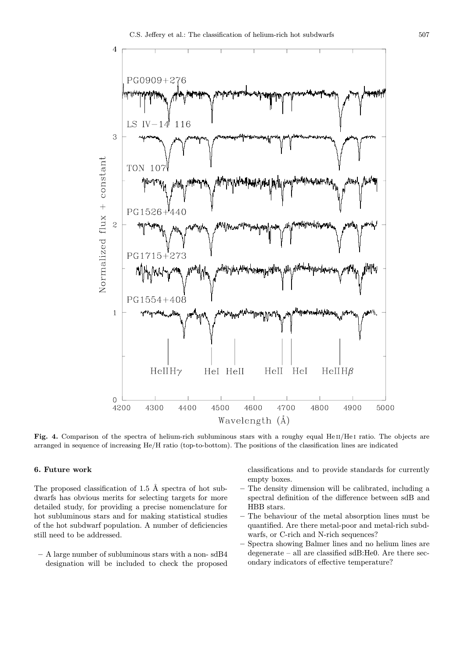

Fig. 4. Comparison of the spectra of helium-rich subluminous stars with a roughy equal  $HeII/HeI$  ratio. The objects are arranged in sequence of increasing He/H ratio (top-to-bottom). The positions of the classification lines are indicated

# 6. Future work

The proposed classification of  $1.5 \text{ Å}$  spectra of hot subdwarfs has obvious merits for selecting targets for more detailed study, for providing a precise nomenclature for hot subluminous stars and for making statistical studies of the hot subdwarf population. A number of deficiencies still need to be addressed.

– A large number of subluminous stars with a non- sdB4 designation will be included to check the proposed classifications and to provide standards for currently empty boxes.

- The density dimension will be calibrated, including a spectral definition of the difference between sdB and HBB stars.
- The behaviour of the metal absorption lines must be quantified. Are there metal-poor and metal-rich subdwarfs, or C-rich and N-rich sequences?
- Spectra showing Balmer lines and no helium lines are degenerate – all are classified sdB:He0. Are there secondary indicators of effective temperature?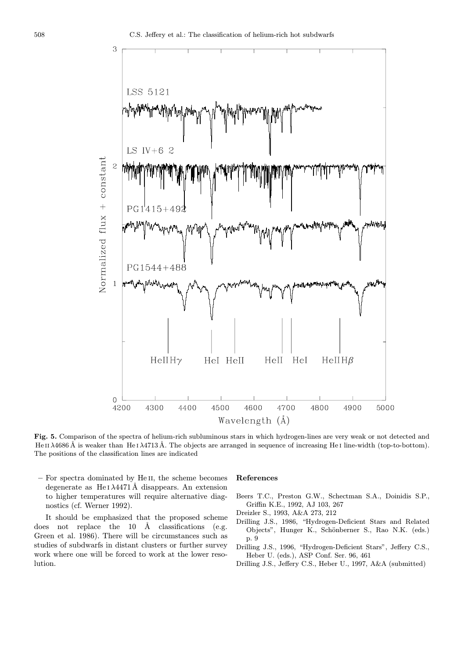

Fig. 5. Comparison of the spectra of helium-rich subluminous stars in which hydrogen-lines are very weak or not detected and He II  $\lambda$ 4686 Å is weaker than He I  $\lambda$ 4713 Å. The objects are arranged in sequence of increasing He I line-width (top-to-bottom). The positions of the classification lines are indicated

– For spectra dominated by He ii, the scheme becomes degenerate as He  $I \lambda 4471 \text{\AA}$  disappears. An extension to higher temperatures will require alternative diagnostics (cf. Werner 1992).

It should be emphasized that the proposed scheme does not replace the  $10$  Å classifications (e.g. Green et al. 1986). There will be circumstances such as studies of subdwarfs in distant clusters or further survey work where one will be forced to work at the lower resolution.

## References

- Beers T.C., Preston G.W., Schectman S.A., Doinidis S.P., Griffin K.E., 1992, AJ 103, 267
- Dreizler S., 1993, A&A 273, 212
- Drilling J.S., 1986, "Hydrogen-Deficient Stars and Related Objects", Hunger K., Schönberner S., Rao N.K. (eds.) p. 9
- Drilling J.S., 1996, "Hydrogen-Deficient Stars", Jeffery C.S., Heber U. (eds.), ASP Conf. Ser. 96, 461
- Drilling J.S., Jeffery C.S., Heber U., 1997, A&A (submitted)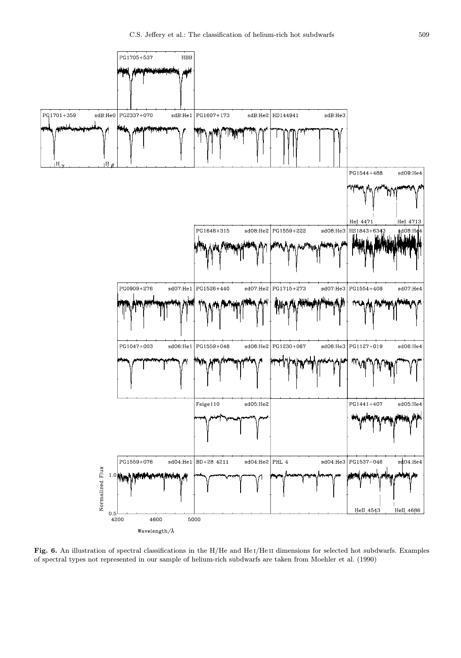

Fig. 6. An illustration of spectral classifications in the H/He and HeI/HeII dimensions for selected hot subdwarfs. Examples of spectral types not represented in our sample of helium-rich subdwarfs are taken from Moehler et al. (1990)